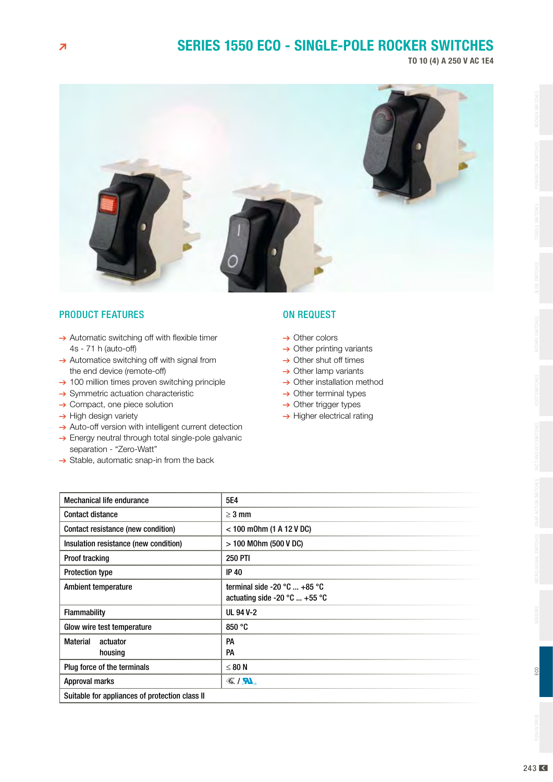## <sup>H</sup> **Series 1550 ECO - Single-pole rocker switches**

**to 10 (4) A 250 V AC 1E4**



#### PRODUCT FEATURES

- $\rightarrow$  Automatic switching off with flexible timer 4s - 71 h (auto-off)
- $\rightarrow$  Automatice switching off with signal from the end device (remote-off)
- $\rightarrow$  100 million times proven switching principle
- $\rightarrow$  Symmetric actuation characteristic
- $\rightarrow$  Compact, one piece solution
- $\rightarrow$  High design variety
- $\rightarrow$  Auto-off version with intelligent current detection
- $\rightarrow$  Energy neutral through total single-pole galvanic separation - "Zero-Watt"
- $\rightarrow$  Stable, automatic snap-in from the back

#### On request

- $\rightarrow$  Other colors
- $\rightarrow$  Other printing variants
- $\rightarrow$  Other shut off times
- $\rightarrow$  Other lamp variants
- $\rightarrow$  Other installation method
- $\rightarrow$  Other terminal types
- $\rightarrow$  Other trigger types
- $\rightarrow$  Higher electrical rating

| <b>Mechanical life endurance</b>               | 5E4                                                                                                 |
|------------------------------------------------|-----------------------------------------------------------------------------------------------------|
| <b>Contact distance</b>                        | $\geq$ 3 mm                                                                                         |
| Contact resistance (new condition)             | $< 100$ m0hm (1 A 12 V DC)                                                                          |
| Insulation resistance (new condition)          | $> 100$ M0hm (500 V DC)                                                                             |
| <b>Proof tracking</b>                          | <b>250 PTI</b>                                                                                      |
| <b>Protection type</b>                         | <b>IP 40</b>                                                                                        |
| Ambient temperature                            | terminal side -20 $^{\circ}$ C  +85 $^{\circ}$ C<br>actuating side -20 $\degree$ C  +55 $\degree$ C |
| <b>Flammability</b>                            | <b>UL 94 V-2</b>                                                                                    |
| Glow wire test temperature                     | 850 °C                                                                                              |
| <b>Material</b><br>actuator                    | <b>PA</b>                                                                                           |
| housing                                        | PA                                                                                                  |
| Plug force of the terminals                    | $\leq 80$ N                                                                                         |
| Approval marks                                 | $\mathcal{L}$ / $\mathbf{N}_{\text{us}}$                                                            |
| Suitable for appliances of protection class II |                                                                                                     |

Eco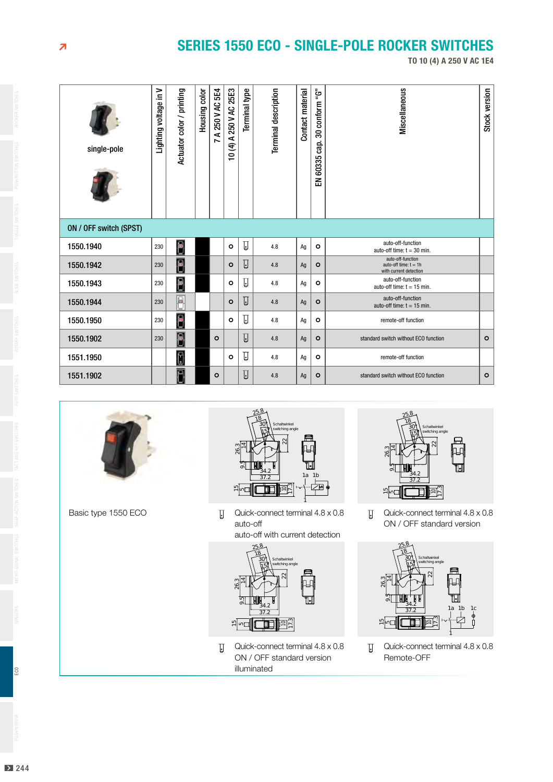### <sup>H</sup> **Series 1550 ECO - Single-pole rocker switches**

**to 10 (4) A 250 V AC 1E4**

| single-pole            | Lighting voltage in V<br>Actuator color / printing |   | Housing color | Terminal description<br>7 A 250 V AC 5E4<br>250 V AC 25E3<br><b>Terminal type</b><br>44<br>$\tilde{=}$ |         | Contact material | ڗۛ۠<br>30 conform<br>cap.<br>EN 60335 | Miscellaneous |         |                                                                        |         |
|------------------------|----------------------------------------------------|---|---------------|--------------------------------------------------------------------------------------------------------|---------|------------------|---------------------------------------|---------------|---------|------------------------------------------------------------------------|---------|
| ON / OFF switch (SPST) |                                                    |   |               |                                                                                                        |         |                  |                                       |               |         |                                                                        |         |
| 1550.1940              | 230                                                | 8 |               |                                                                                                        | $\circ$ | IJ               | 4.8                                   | Ag            | $\circ$ | auto-off-function<br>auto-off time: $t = 30$ min.                      |         |
| 1550.1942              | 230                                                | 8 |               |                                                                                                        | $\circ$ | Ţ                | 4.8                                   | Ag            | $\circ$ | auto-off-function<br>auto-off time: $t = 1h$<br>with current detection |         |
| 1550.1943              | 230                                                | 8 |               |                                                                                                        | $\circ$ | IJ               | 4.8                                   | Ag            | $\circ$ | auto-off-function<br>auto-off time: $t = 15$ min.                      |         |
| 1550.1944              | 230                                                | B |               |                                                                                                        | $\circ$ | IJ               | 4.8                                   | Ag            | $\circ$ | auto-off-function<br>auto-off time: $t = 15$ min.                      |         |
| 1550.1950              | 230                                                | 8 |               |                                                                                                        | $\circ$ | U                | 4.8                                   | Ag            | $\circ$ | remote-off function                                                    |         |
| 1550.1902              | 230                                                | E |               | $\circ$                                                                                                |         | U                | 4.8                                   | Ag            | $\circ$ | standard switch without ECO function                                   | $\circ$ |
| 1551.1950              |                                                    | Đ |               |                                                                                                        | $\circ$ | Ţ                | 4.8                                   | Ag            | $\circ$ | remote-off function                                                    |         |
| 1551.1902              |                                                    | A |               | $\circ$                                                                                                |         | IJ               | 4.8                                   | Ag            | $\circ$ | standard switch without ECO function                                   | $\circ$ |





Basic type 1550 ECO  $\qquad \qquad \qquad \Box$  Quick-connect terminal 4.8 x 0.8 auto-off auto-off with current detection



 $\overline{\mathbb{Q}}$ Quick-connect terminal 4.8 x 0.8 ON / OFF standard version illuminated



Quick-connect terminal 4.8 x 0.8  $\Box$ ON / OFF standard version



Quick-connect terminal 4.8 x 0.8  $\overline{\mathsf{L}}$ Remote-OFF

Eco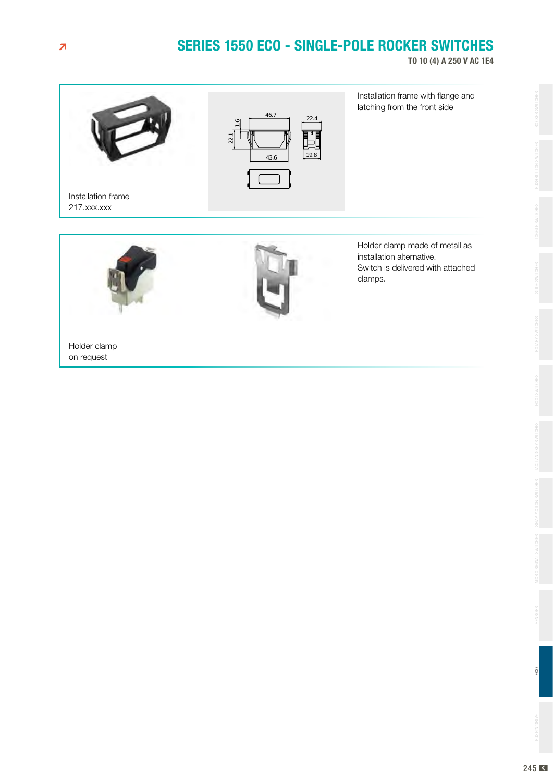# <sup>H</sup> **Series 1550 ECO - Single-pole rocker switches**

**to 10 (4) A 250 V AC 1E4**





Holder clamp on request

Holder clamp made of metall as installation alternative. Switch is delivered with attached clamps.